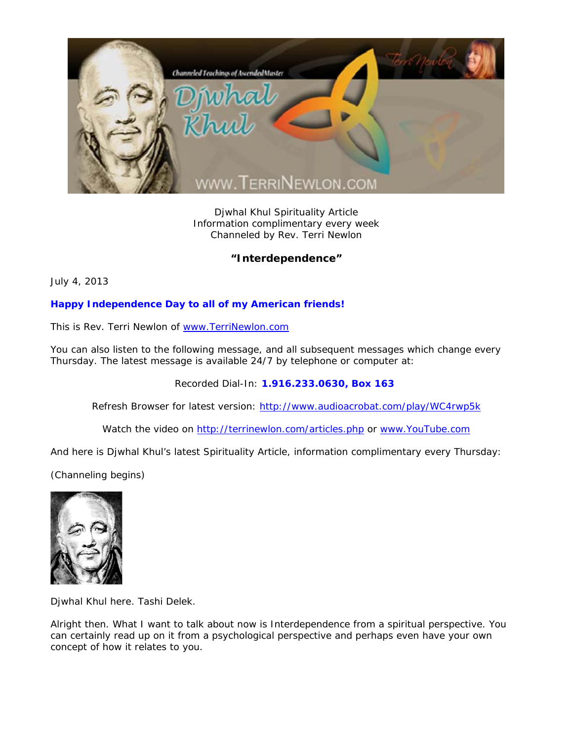

Djwhal Khul Spirituality Article Information complimentary every week Channeled by Rev. Terri Newlon

**"Interdependence"** 

July 4, 2013

## **Happy Independence Day to all of my American friends!**

This is Rev. Terri Newlon of www.TerriNewlon.com

You can also listen to the following message, and all subsequent messages which change every Thursday. The latest message is available 24/7 by telephone or computer at:

Recorded Dial-In: **1.916.233.0630, Box 163** 

Refresh Browser for latest version: http://www.audioacrobat.com/play/WC4rwp5k

Watch the video on http://terrinewlon.com/articles.php or www.YouTube.com

And here is Djwhal Khul's latest Spirituality Article, information complimentary every Thursday:

(Channeling begins)



Djwhal Khul here. Tashi Delek.

Alright then. What I want to talk about now is Interdependence from a spiritual perspective. You can certainly read up on it from a psychological perspective and perhaps even have your own concept of how it relates to you.